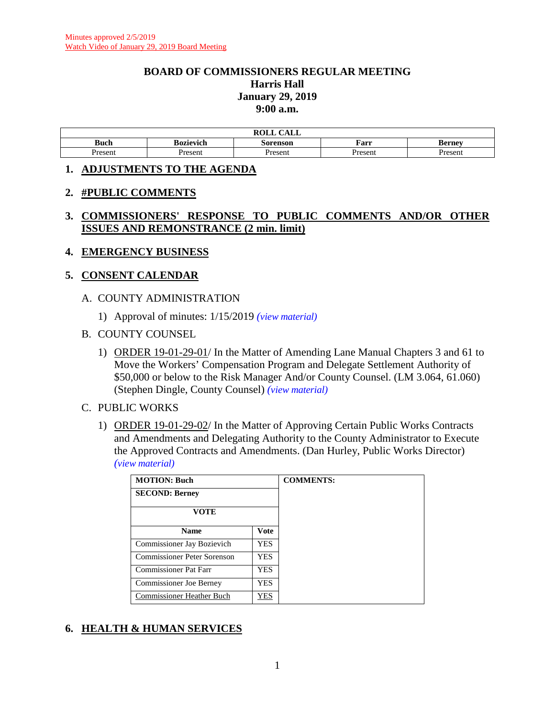#### **BOARD OF COMMISSIONERS REGULAR MEETING Harris Hall January 29, 2019 9:00 a.m.**

|             |           | $\sim$ $\sim$ $\sim$ $\sim$<br>ROLL<br>Æы |         |               |
|-------------|-----------|-------------------------------------------|---------|---------------|
| <b>Buch</b> | Bozievich | Sorenson                                  | Farr    | <b>Berney</b> |
| Present     | Present   | Present                                   | Present | Present       |

#### **1. ADJUSTMENTS TO THE AGENDA**

#### **2. #PUBLIC COMMENTS**

## **3. COMMISSIONERS' RESPONSE TO PUBLIC COMMENTS AND/OR OTHER ISSUES AND REMONSTRANCE (2 min. limit)**

#### **4. EMERGENCY BUSINESS**

#### **5. CONSENT CALENDAR**

#### A. COUNTY ADMINISTRATION

1) Approval of minutes: 1/15/2019 *(view [material\)](http://www.lanecounty.org/UserFiles/Servers/Server_3585797/File/Government/BCC/2019/2019_AGENDAS/012919agenda/T.5.A.1.pdf)*

#### B. COUNTY COUNSEL

1) ORDER 19-01-29-01/ In the Matter of Amending Lane Manual Chapters 3 and 61 to Move the Workers' Compensation Program and Delegate Settlement Authority of \$50,000 or below to the Risk Manager And/or County Counsel. (LM 3.064, 61.060) (Stephen Dingle, County Counsel) *(view [material\)](http://www.lanecounty.org/UserFiles/Servers/Server_3585797/File/Government/BCC/2019/2019_AGENDAS/012919agenda/T.5.B.1.pdf)*

#### C. PUBLIC WORKS

1) ORDER 19-01-29-02/ In the Matter of Approving Certain Public Works Contracts and Amendments and Delegating Authority to the County Administrator to Execute the Approved Contracts and Amendments. (Dan Hurley, Public Works Director) *(view [material\)](http://www.lanecounty.org/UserFiles/Servers/Server_3585797/File/Government/BCC/2019/2019_AGENDAS/012919agenda/T.5.C.1.pdf)*

| <b>MOTION: Buch</b>            |            | <b>COMMENTS:</b> |
|--------------------------------|------------|------------------|
| <b>SECOND: Berney</b>          |            |                  |
| <b>VOTE</b>                    |            |                  |
| <b>Name</b>                    | Vote       |                  |
| Commissioner Jay Bozievich     | <b>YES</b> |                  |
| Commissioner Peter Sorenson    | <b>YES</b> |                  |
| <b>Commissioner Pat Farr</b>   | <b>YES</b> |                  |
| <b>Commissioner Joe Berney</b> | <b>YES</b> |                  |
| Commissioner Heather Buch      | YES        |                  |

## **6. HEALTH & HUMAN SERVICES**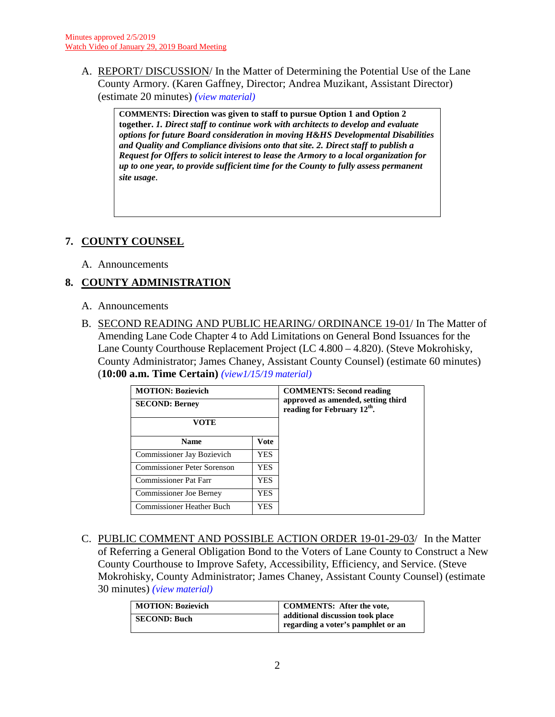A. REPORT/ DISCUSSION/ In the Matter of Determining the Potential Use of the Lane County Armory. (Karen Gaffney, Director; Andrea Muzikant, Assistant Director) (estimate 20 minutes) *(view [material\)](http://www.lanecounty.org/UserFiles/Servers/Server_3585797/File/Government/BCC/2019/2019_AGENDAS/012919agenda/T.6.A.pdf)*

**COMMENTS: Direction was given to staff to pursue Option 1 and Option 2 together.** *1. Direct staff to continue work with architects to develop and evaluate options for future Board consideration in moving H&HS Developmental Disabilities and Quality and Compliance divisions onto that site. 2. Direct staff to publish a Request for Offers to solicit interest to lease the Armory to a local organization for up to one year, to provide sufficient time for the County to fully assess permanent site usage.*

# **7. COUNTY COUNSEL**

A. Announcements

# **8. COUNTY ADMINISTRATION**

- A. Announcements
- B. SECOND READING AND PUBLIC HEARING/ ORDINANCE 19-01/ In The Matter of Amending Lane Code Chapter 4 to Add Limitations on General Bond Issuances for the Lane County Courthouse Replacement Project (LC 4.800 – 4.820). (Steve Mokrohisky, County Administrator; James Chaney, Assistant County Counsel) (estimate 60 minutes) (**10:00 a.m. Time Certain)** *[\(view1/15/19](http://www.lanecounty.org/UserFiles/Servers/Server_3585797/File/Government/BCC/2019/2019_AGENDAS/011519agenda/T.7.C.pdf) material)*

| <b>MOTION: Bozievich</b><br><b>SECOND: Berney</b><br><b>VOTE</b> |      | <b>COMMENTS: Second reading</b><br>approved as amended, setting third<br>reading for February 12 <sup>th</sup> . |
|------------------------------------------------------------------|------|------------------------------------------------------------------------------------------------------------------|
| <b>Name</b>                                                      | Vote |                                                                                                                  |
| Commissioner Jay Bozievich                                       | YES. |                                                                                                                  |
| <b>Commissioner Peter Sorenson</b>                               | YES. |                                                                                                                  |
| <b>Commissioner Pat Farr</b>                                     | YES. |                                                                                                                  |
| <b>Commissioner Joe Berney</b>                                   | YES. |                                                                                                                  |
| <b>Commissioner Heather Buch</b>                                 | YES. |                                                                                                                  |

C. PUBLIC COMMENT AND POSSIBLE ACTION ORDER 19-01-29-03/ In the Matter of Referring a General Obligation Bond to the Voters of Lane County to Construct a New County Courthouse to Improve Safety, Accessibility, Efficiency, and Service. (Steve Mokrohisky, County Administrator; James Chaney, Assistant County Counsel) (estimate 30 minutes) *(view [material\)](http://www.lanecounty.org/UserFiles/Servers/Server_3585797/File/Government/BCC/2019/2019_AGENDAS/012919agenda/T.8.C.pdf)*

| <b>MOTION: Bozievich</b> | <b>COMMENTS:</b> After the vote,                                       |
|--------------------------|------------------------------------------------------------------------|
| <b>SECOND: Buch</b>      | additional discussion took place<br>regarding a voter's pamphlet or an |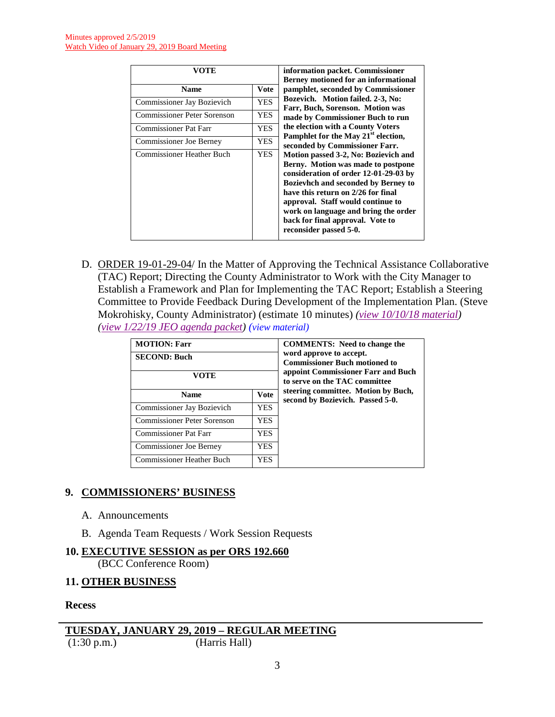| VOTE                               |             | information packet. Commissioner<br><b>Berney motioned for an informational</b>                                                                                               |
|------------------------------------|-------------|-------------------------------------------------------------------------------------------------------------------------------------------------------------------------------|
| <b>Name</b>                        | <b>Vote</b> | pamphlet, seconded by Commissioner                                                                                                                                            |
| Commissioner Jay Bozievich         | <b>YES</b>  | Bozevich. Motion failed. 2-3, No:<br>Farr, Buch, Sorenson. Motion was                                                                                                         |
| <b>Commissioner Peter Sorenson</b> | <b>YES</b>  | made by Commissioner Buch to run                                                                                                                                              |
| <b>Commissioner Pat Farr</b>       | <b>YES</b>  | the election with a County Voters                                                                                                                                             |
| Commissioner Joe Berney            | <b>YES</b>  | Pamphlet for the May 21 <sup>st</sup> election,<br>seconded by Commissioner Farr.                                                                                             |
| <b>Commissioner Heather Buch</b>   | <b>YES</b>  | Motion passed 3-2, No: Bozievich and                                                                                                                                          |
|                                    |             | Berny. Motion was made to postpone<br>consideration of order 12-01-29-03 by                                                                                                   |
|                                    |             | <b>Bozievhch and seconded by Berney to</b>                                                                                                                                    |
|                                    |             | have this return on 2/26 for final<br>approval. Staff would continue to<br>work on language and bring the order<br>back for final approval. Vote to<br>reconsider passed 5-0. |

D. ORDER 19-01-29-04/ In the Matter of Approving the Technical Assistance Collaborative (TAC) Report; Directing the County Administrator to Work with the City Manager to Establish a Framework and Plan for Implementing the TAC Report; Establish a Steering Committee to Provide Feedback During Development of the Implementation Plan. (Steve Mokrohisky, County Administrator) (estimate 10 minutes) *[\(view 10/10/18 material\)](http://www.lanecounty.org/UserFiles/Servers/Server_3585797/File/Government/BCC/2018/2018_AGENDAS/100918agenda/W.2.A.pdf) [\(view 1/22/19 JEO agenda packet\)](http://www.lanecounty.org/UserFiles/Servers/Server_3585797/File/Government/BCC/2019/2019_AGENDAS/012219agenda/W.A.pdf) (view [material\)](http://www.lanecounty.org/UserFiles/Servers/Server_3585797/File/Government/BCC/2019/2019_AGENDAS/012919agenda/T.8.D.pdf)*

| <b>MOTION: Farr</b><br><b>SECOND: Buch</b><br>VOTE |             | <b>COMMENTS:</b> Need to change the<br>word approve to accept.<br><b>Commissioner Buch motioned to</b><br>appoint Commissioner Farr and Buch<br>to serve on the TAC committee |
|----------------------------------------------------|-------------|-------------------------------------------------------------------------------------------------------------------------------------------------------------------------------|
| <b>Name</b>                                        | <b>Vote</b> | steering committee. Motion by Buch,<br>second by Bozievich. Passed 5-0.                                                                                                       |
| Commissioner Jay Bozievich                         | <b>YES</b>  |                                                                                                                                                                               |
| <b>Commissioner Peter Sorenson</b>                 | <b>YES</b>  |                                                                                                                                                                               |
| <b>Commissioner Pat Farr</b>                       | YES         |                                                                                                                                                                               |
| <b>Commissioner Joe Berney</b>                     | <b>YES</b>  |                                                                                                                                                                               |
| <b>Commissioner Heather Buch</b>                   | YES         |                                                                                                                                                                               |

## **9. COMMISSIONERS' BUSINESS**

- A. Announcements
- B. Agenda Team Requests / Work Session Requests

## **10. EXECUTIVE SESSION as per ORS 192.660**

(BCC Conference Room)

#### **11. OTHER BUSINESS**

**Recess**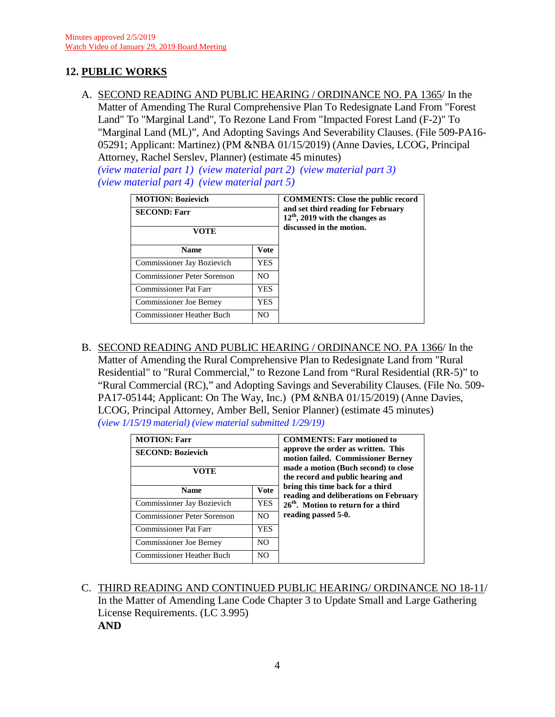## **12. PUBLIC WORKS**

A. SECOND READING AND PUBLIC HEARING / ORDINANCE NO. PA 1365/ In the Matter of Amending The Rural Comprehensive Plan To Redesignate Land From "Forest Land" To "Marginal Land", To Rezone Land From "Impacted Forest Land (F-2)" To "Marginal Land (ML)", And Adopting Savings And Severability Clauses. (File 509-PA16- 05291; Applicant: Martinez) (PM &NBA 01/15/2019) (Anne Davies, LCOG, Principal Attorney, Rachel Serslev, Planner) (estimate 45 minutes)

*[\(view material part 1\)](http://www.lanecounty.org/UserFiles/Servers/Server_3585797/File/Government/BCC/2019/2019_AGENDAS/011519agenda/T.13.A_Part1.pdf) [\(view material part 2\)](http://www.lanecounty.org/UserFiles/Servers/Server_3585797/File/Government/BCC/2019/2019_AGENDAS/011519agenda/T.13.A_Part2.pdf) [\(view material part 3\)](http://www.lanecounty.org/UserFiles/Servers/Server_3585797/File/Government/BCC/2019/2019_AGENDAS/011519agenda/T.13.A_Part3.pdf)  [\(view material part 4\)](http://www.lanecounty.org/UserFiles/Servers/Server_3585797/File/Government/BCC/2019/2019_AGENDAS/011519agenda/T.13.A_Part4.pdf) [\(view material part 5\)](http://www.lanecounty.org/UserFiles/Servers/Server_3585797/File/Government/BCC/2019/2019_AGENDAS/011519agenda/T.13.A_Part5.pdf)*

| <b>MOTION: Bozievich</b>           |                | <b>COMMENTS:</b> Close the public record                                |
|------------------------------------|----------------|-------------------------------------------------------------------------|
| <b>SECOND: Farr</b>                |                | and set third reading for February<br>$12th$ , 2019 with the changes as |
| <b>VOTE</b>                        |                | discussed in the motion.                                                |
| <b>Name</b>                        | Vote           |                                                                         |
| <b>Commissioner Jay Bozievich</b>  | <b>YES</b>     |                                                                         |
| <b>Commissioner Peter Sorenson</b> | N <sub>O</sub> |                                                                         |
| <b>Commissioner Pat Farr</b>       | <b>YES</b>     |                                                                         |
| <b>Commissioner Joe Berney</b>     | YES.           |                                                                         |
| Commissioner Heather Buch          | N <sub>O</sub> |                                                                         |

B. SECOND READING AND PUBLIC HEARING / ORDINANCE NO. PA 1366/ In the Matter of Amending the Rural Comprehensive Plan to Redesignate Land from "Rural Residential" to "Rural Commercial," to Rezone Land from "Rural Residential (RR-5)" to "Rural Commercial (RC)," and Adopting Savings and Severability Clauses. (File No. 509- PA17-05144; Applicant: On The Way, Inc.) (PM &NBA 01/15/2019) (Anne Davies, LCOG, Principal Attorney, Amber Bell, Senior Planner) (estimate 45 minutes) *(view [1/15/19 material\)](http://www.lanecounty.org/UserFiles/Servers/Server_3585797/File/Government/BCC/2019/2019_AGENDAS/011519agenda/T.13.B.pdf) [\(view material submitted 1/29/19\)](http://www.lanecounty.org/UserFiles/Servers/Server_3585797/File/Government/BCC/2019/2019_AGENDAS/012919agenda/T.12.BSupp.pdf)*

| <b>MOTION: Farr</b><br><b>SECOND: Bozievich</b><br>VOTE |                | <b>COMMENTS: Farr motioned to</b><br>approve the order as written. This<br>motion failed. Commissioner Berney<br>made a motion (Buch second) to close<br>the record and public hearing and |
|---------------------------------------------------------|----------------|--------------------------------------------------------------------------------------------------------------------------------------------------------------------------------------------|
| <b>Name</b>                                             | <b>Vote</b>    | bring this time back for a third<br>reading and deliberations on February                                                                                                                  |
| Commissioner Jay Bozievich                              | <b>YES</b>     | 26 <sup>th</sup> . Motion to return for a third                                                                                                                                            |
| <b>Commissioner Peter Sorenson</b>                      | N <sub>O</sub> | reading passed 5-0.                                                                                                                                                                        |
| Commissioner Pat Farr                                   | <b>YES</b>     |                                                                                                                                                                                            |
| Commissioner Joe Berney                                 | N <sub>O</sub> |                                                                                                                                                                                            |
| <b>Commissioner Heather Buch</b>                        | N <sub>O</sub> |                                                                                                                                                                                            |

C. THIRD READING AND CONTINUED PUBLIC HEARING/ ORDINANCE NO 18-11/ In the Matter of Amending Lane Code Chapter 3 to Update Small and Large Gathering License Requirements. (LC 3.995) **AND**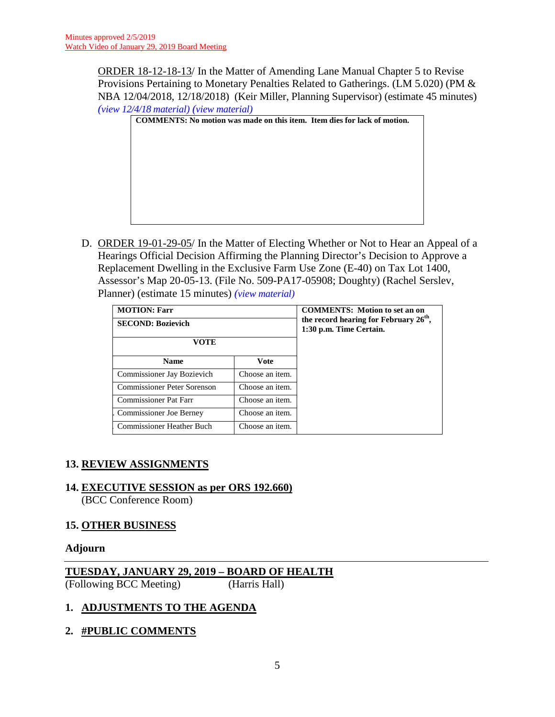ORDER 18-12-18-13/ In the Matter of Amending Lane Manual Chapter 5 to Revise Provisions Pertaining to Monetary Penalties Related to Gatherings. (LM 5.020) (PM & NBA 12/04/2018, 12/18/2018) (Keir Miller, Planning Supervisor) (estimate 45 minutes) *(view [12/4/18 material\)](http://www.lanecounty.org/UserFiles/Servers/Server_3585797/File/Government/BCC/2018/2018_AGENDAS/120418agenda/T.13.B.pdf) (view [material\)](http://www.lanecounty.org/UserFiles/Servers/Server_3585797/File/Government/BCC/2019/2019_AGENDAS/012919agenda/T.12.C.pdf)*

|  | <b>COMMENTS:</b> No motion was made on this item. Item dies for lack of motion. |  |
|--|---------------------------------------------------------------------------------|--|
|  |                                                                                 |  |
|  |                                                                                 |  |
|  |                                                                                 |  |
|  |                                                                                 |  |
|  |                                                                                 |  |
|  |                                                                                 |  |
|  |                                                                                 |  |
|  |                                                                                 |  |

D. ORDER 19-01-29-05/ In the Matter of Electing Whether or Not to Hear an Appeal of a Hearings Official Decision Affirming the Planning Director's Decision to Approve a Replacement Dwelling in the Exclusive Farm Use Zone (E-40) on Tax Lot 1400, Assessor's Map 20-05-13. (File No. 509-PA17-05908; Doughty) (Rachel Serslev, Planner) (estimate 15 minutes) *(view [material\)](http://www.lanecounty.org/UserFiles/Servers/Server_3585797/File/Government/BCC/2019/2019_AGENDAS/012919agenda/T.12.D.pdf)*

| <b>MOTION: Farr</b><br><b>SECOND: Bozievich</b><br>VOTE |                 | <b>COMMENTS:</b> Motion to set an on<br>the record hearing for February $26th$ ,<br>1:30 p.m. Time Certain. |
|---------------------------------------------------------|-----------------|-------------------------------------------------------------------------------------------------------------|
| <b>Name</b>                                             | <b>V</b> ote    |                                                                                                             |
| Commissioner Jay Bozievich                              | Choose an item. |                                                                                                             |
| <b>Commissioner Peter Sorenson</b>                      | Choose an item. |                                                                                                             |
| <b>Commissioner Pat Farr</b>                            | Choose an item. |                                                                                                             |
| <b>Commissioner Joe Berney</b>                          | Choose an item. |                                                                                                             |
| Commissioner Heather Buch                               | Choose an item. |                                                                                                             |

# **13. REVIEW ASSIGNMENTS**

**14. EXECUTIVE SESSION as per ORS 192.660)**

(BCC Conference Room)

## **15. OTHER BUSINESS**

#### **Adjourn**

## **TUESDAY, JANUARY 29, 2019 – BOARD OF HEALTH**

(Following BCC Meeting) (Harris Hall)

# **1. ADJUSTMENTS TO THE AGENDA**

**2. #PUBLIC COMMENTS**